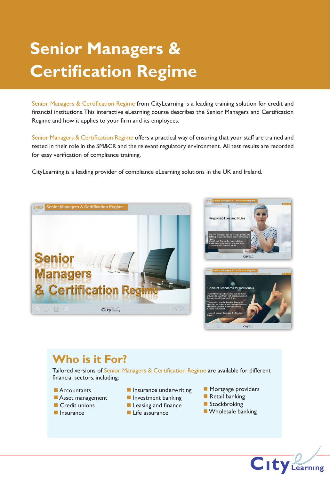# **Senior Managers & Certification Regime**

Senior Managers & Certification Regime from CityLearning is a leading training solution for credit and financial institutions. This interactive eLearning course describes the Senior Managers and Certification Regime and how it applies to your firm and its employees.

Senior Managers & Certification Regime offers a practical way of ensuring that your staff are trained and tested in their role in the SM&CR and the relevant regulatory environment. All test results are recorded for easy verification of compliance training.

CityLearning is a leading provider of compliance eLearning solutions in the UK and Ireland.







## **Who is it For?**

Tailored versions of Senior Managers & Certification Regime are available for different financial sectors, including:

- $\blacksquare$  Accountants
- **Asset management**
- $\blacksquare$  Credit unions
- $\blacksquare$  Insurance
- $\blacksquare$  Insurance underwriting
- $\blacksquare$  Investment banking
- **Leasing and finance**
- $\blacksquare$  Life assurance
- **n** Mortgage providers
- $\blacksquare$  Retail banking
- **n** Stockbroking
- **NA** Wholesale banking

**City** Learning